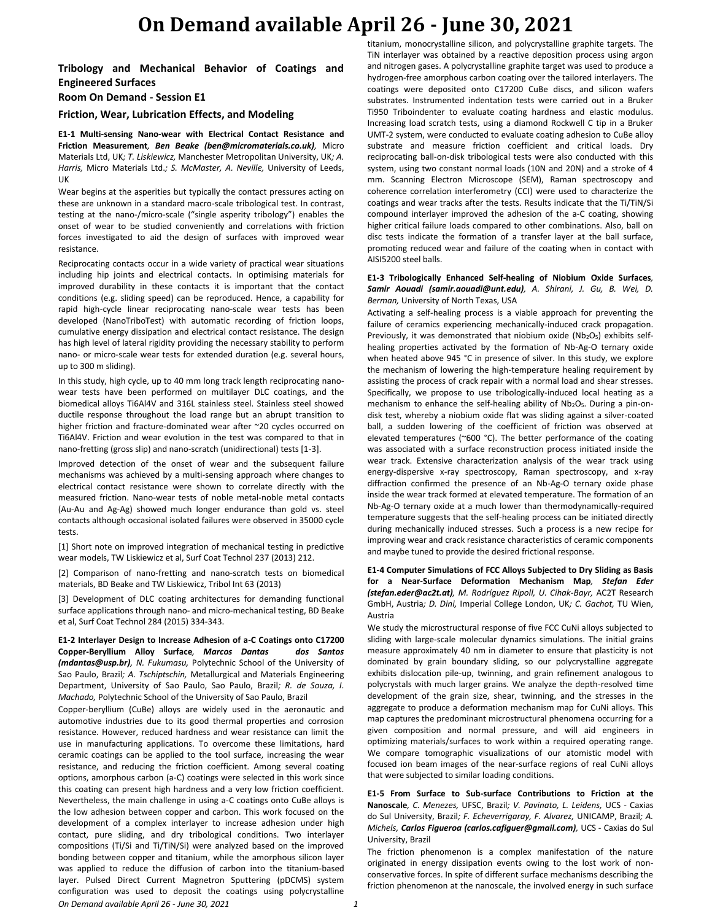**Tribology and Mechanical Behavior of Coatings and Engineered Surfaces**

**Room On Demand - Session E1**

**Friction, Wear, Lubrication Effects, and Modeling**

**E1-1 Multi-sensing Nano-wear with Electrical Contact Resistance and Friction Measurement***, Ben Beake (ben@micromaterials.co.uk),* Micro Materials Ltd, UK*; T. Liskiewicz,* Manchester Metropolitan University, UK*; A. Harris,* Micro Materials Ltd.*; S. McMaster, A. Neville,* University of Leeds, UK

Wear begins at the asperities but typically the contact pressures acting on these are unknown in a standard macro-scale tribological test. In contrast, testing at the nano-/micro-scale ("single asperity tribology") enables the onset of wear to be studied conveniently and correlations with friction forces investigated to aid the design of surfaces with improved wear resistance.

Reciprocating contacts occur in a wide variety of practical wear situations including hip joints and electrical contacts. In optimising materials for improved durability in these contacts it is important that the contact conditions (e.g. sliding speed) can be reproduced. Hence, a capability for rapid high-cycle linear reciprocating nano-scale wear tests has been developed (NanoTriboTest) with automatic recording of friction loops, cumulative energy dissipation and electrical contact resistance. The design has high level of lateral rigidity providing the necessary stability to perform nano- or micro-scale wear tests for extended duration (e.g. several hours, up to 300 m sliding).

In this study, high cycle, up to 40 mm long track length reciprocating nanowear tests have been performed on multilayer DLC coatings, and the biomedical alloys Ti6Al4V and 316L stainless steel. Stainless steel showed ductile response throughout the load range but an abrupt transition to higher friction and fracture-dominated wear after ~20 cycles occurred on Ti6Al4V. Friction and wear evolution in the test was compared to that in nano-fretting (gross slip) and nano-scratch (unidirectional) tests [1-3].

Improved detection of the onset of wear and the subsequent failure mechanisms was achieved by a multi-sensing approach where changes to electrical contact resistance were shown to correlate directly with the measured friction. Nano-wear tests of noble metal-noble metal contacts (Au-Au and Ag-Ag) showed much longer endurance than gold vs. steel contacts although occasional isolated failures were observed in 35000 cycle tests.

[1] Short note on improved integration of mechanical testing in predictive wear models, TW Liskiewicz et al, Surf Coat Technol 237 (2013) 212.

[2] Comparison of nano-fretting and nano-scratch tests on biomedical materials, BD Beake and TW Liskiewicz, Tribol Int 63 (2013)

[3] Development of DLC coating architectures for demanding functional surface applications through nano- and micro-mechanical testing, BD Beake et al, Surf Coat Technol 284 (2015) 334-343.

**E1-2 Interlayer Design to Increase Adhesion of a-C Coatings onto C17200 Copper-Beryllium Alloy Surface***, Marcos Dantas dos Santos (mdantas@usp.br), N. Fukumasu,* Polytechnic School of the University of Sao Paulo, Brazil*; A. Tschiptschin,* Metallurgical and Materials Engineering Department, University of Sao Paulo, Sao Paulo, Brazil*; R. de Souza, I. Machado,* Polytechnic School of the University of Sao Paulo, Brazil

*On Demand available April 26 - June 30, 2021 1* Copper-beryllium (CuBe) alloys are widely used in the aeronautic and automotive industries due to its good thermal properties and corrosion resistance. However, reduced hardness and wear resistance can limit the use in manufacturing applications. To overcome these limitations, hard ceramic coatings can be applied to the tool surface, increasing the wear resistance, and reducing the friction coefficient. Among several coating options, amorphous carbon (a-C) coatings were selected in this work since this coating can present high hardness and a very low friction coefficient. Nevertheless, the main challenge in using a-C coatings onto CuBe alloys is the low adhesion between copper and carbon. This work focused on the development of a complex interlayer to increase adhesion under high contact, pure sliding, and dry tribological conditions. Two interlayer compositions (Ti/Si and Ti/TiN/Si) were analyzed based on the improved bonding between copper and titanium, while the amorphous silicon layer was applied to reduce the diffusion of carbon into the titanium-based layer. Pulsed Direct Current Magnetron Sputtering (pDCMS) system configuration was used to deposit the coatings using polycrystalline

titanium, monocrystalline silicon, and polycrystalline graphite targets. The TiN interlayer was obtained by a reactive deposition process using argon and nitrogen gases. A polycrystalline graphite target was used to produce a hydrogen-free amorphous carbon coating over the tailored interlayers. The coatings were deposited onto C17200 CuBe discs, and silicon wafers substrates. Instrumented indentation tests were carried out in a Bruker Ti950 Triboindenter to evaluate coating hardness and elastic modulus. Increasing load scratch tests, using a diamond Rockwell C tip in a Bruker UMT-2 system, were conducted to evaluate coating adhesion to CuBe alloy substrate and measure friction coefficient and critical loads. Dry reciprocating ball-on-disk tribological tests were also conducted with this system, using two constant normal loads (10N and 20N) and a stroke of 4 mm. Scanning Electron Microscope (SEM), Raman spectroscopy and coherence correlation interferometry (CCI) were used to characterize the coatings and wear tracks after the tests. Results indicate that the Ti/TiN/Si compound interlayer improved the adhesion of the a-C coating, showing higher critical failure loads compared to other combinations. Also, ball on disc tests indicate the formation of a transfer layer at the ball surface, promoting reduced wear and failure of the coating when in contact with AISI5200 steel balls.

#### **E1-3 Tribologically Enhanced Self-healing of Niobium Oxide Surfaces***, Samir Aouadi (samir.aouadi@unt.edu), A. Shirani, J. Gu, B. Wei, D. Berman,* University of North Texas, USA

Activating a self-healing process is a viable approach for preventing the failure of ceramics experiencing mechanically-induced crack propagation. Previously, it was demonstrated that niobium oxide ( $Nb<sub>2</sub>O<sub>5</sub>$ ) exhibits selfhealing properties activated by the formation of Nb-Ag-O ternary oxide when heated above 945 °C in presence of silver. In this study, we explore the mechanism of lowering the high-temperature healing requirement by assisting the process of crack repair with a normal load and shear stresses. Specifically, we propose to use tribologically-induced local heating as a mechanism to enhance the self-healing ability of  $Nb<sub>2</sub>O<sub>5</sub>$ . During a pin-ondisk test, whereby a niobium oxide flat was sliding against a silver-coated ball, a sudden lowering of the coefficient of friction was observed at elevated temperatures (~600 °C). The better performance of the coating was associated with a surface reconstruction process initiated inside the wear track. Extensive characterization analysis of the wear track using energy-dispersive x-ray spectroscopy, Raman spectroscopy, and x-ray diffraction confirmed the presence of an Nb-Ag-O ternary oxide phase inside the wear track formed at elevated temperature. The formation of an Nb-Ag-O ternary oxide at a much lower than thermodynamically-required temperature suggests that the self-healing process can be initiated directly during mechanically induced stresses. Such a process is a new recipe for improving wear and crack resistance characteristics of ceramic components and maybe tuned to provide the desired frictional response.

**E1-4 Computer Simulations of FCC Alloys Subjected to Dry Sliding as Basis for a Near-Surface Deformation Mechanism Map***, Stefan Eder (stefan.eder@ac2t.at), M. Rodríguez Ripoll, U. Cihak-Bayr,* AC2T Research GmbH, Austria*; D. Dini,* Imperial College London, UK*; C. Gachot,* TU Wien, Austria

We study the microstructural response of five FCC CuNi alloys subjected to sliding with large-scale molecular dynamics simulations. The initial grains measure approximately 40 nm in diameter to ensure that plasticity is not dominated by grain boundary sliding, so our polycrystalline aggregate exhibits dislocation pile-up, twinning, and grain refinement analogous to polycrystals with much larger grains. We analyze the depth-resolved time development of the grain size, shear, twinning, and the stresses in the aggregate to produce a deformation mechanism map for CuNi alloys. This map captures the predominant microstructural phenomena occurring for a given composition and normal pressure, and will aid engineers in optimizing materials/surfaces to work within a required operating range. We compare tomographic visualizations of our atomistic model with focused ion beam images of the near-surface regions of real CuNi alloys that were subjected to similar loading conditions.

**E1-5 From Surface to Sub-surface Contributions to Friction at the Nanoscale***, C. Menezes,* UFSC, Brazil*; V. Pavinato, L. Leidens,* UCS - Caxias do Sul University, Brazil*; F. Echeverrigaray, F. Alvarez,* UNICAMP, Brazil*; A. Michels, Carlos Figueroa (carlos.cafiguer@gmail.com),* UCS - Caxias do Sul University, Brazil

The friction phenomenon is a complex manifestation of the nature originated in energy dissipation events owing to the lost work of nonconservative forces. In spite of different surface mechanisms describing the friction phenomenon at the nanoscale, the involved energy in such surface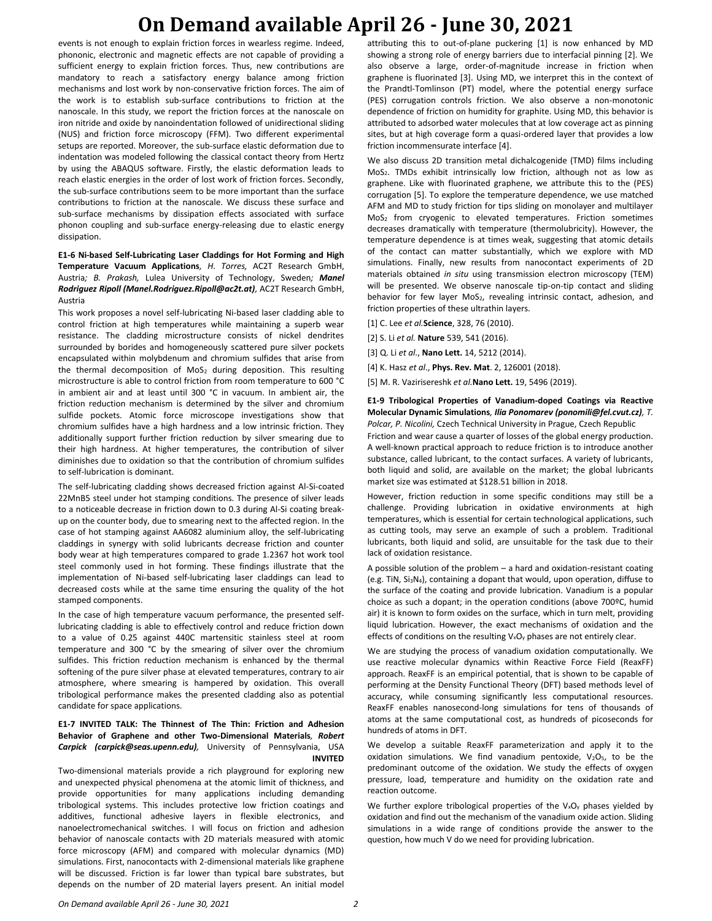events is not enough to explain friction forces in wearless regime. Indeed, phononic, electronic and magnetic effects are not capable of providing a sufficient energy to explain friction forces. Thus, new contributions are mandatory to reach a satisfactory energy balance among friction mechanisms and lost work by non-conservative friction forces. The aim of the work is to establish sub-surface contributions to friction at the nanoscale. In this study, we report the friction forces at the nanoscale on iron nitride and oxide by nanoindentation followed of unidirectional sliding (NUS) and friction force microscopy (FFM). Two different experimental setups are reported. Moreover, the sub-surface elastic deformation due to indentation was modeled following the classical contact theory from Hertz by using the ABAQUS software. Firstly, the elastic deformation leads to reach elastic energies in the order of lost work of friction forces. Secondly, the sub-surface contributions seem to be more important than the surface contributions to friction at the nanoscale. We discuss these surface and sub-surface mechanisms by dissipation effects associated with surface phonon coupling and sub-surface energy-releasing due to elastic energy dissipation.

#### **E1-6 Ni-based Self-Lubricating Laser Claddings for Hot Forming and High Temperature Vacuum Applications***, H. Torres,* AC2T Research GmbH, Austria*; B. Prakash,* Lulea University of Technology, Sweden*; Manel Rodriguez Ripoll (Manel.Rodriguez.Ripoll@ac2t.at),* AC2T Research GmbH, Austria

This work proposes a novel self-lubricating Ni-based laser cladding able to control friction at high temperatures while maintaining a superb wear resistance. The cladding microstructure consists of nickel dendrites surrounded by borides and homogeneously scattered pure silver pockets encapsulated within molybdenum and chromium sulfides that arise from the thermal decomposition of MoS<sub>2</sub> during deposition. This resulting microstructure is able to control friction from room temperature to 600 °C in ambient air and at least until 300 °C in vacuum. In ambient air, the friction reduction mechanism is determined by the silver and chromium sulfide pockets. Atomic force microscope investigations show that chromium sulfides have a high hardness and a low intrinsic friction. They additionally support further friction reduction by silver smearing due to their high hardness. At higher temperatures, the contribution of silver diminishes due to oxidation so that the contribution of chromium sulfides to self-lubrication is dominant.

The self-lubricating cladding shows decreased friction against Al-Si-coated 22MnB5 steel under hot stamping conditions. The presence of silver leads to a noticeable decrease in friction down to 0.3 during Al-Si coating breakup on the counter body, due to smearing next to the affected region. In the case of hot stamping against AA6082 aluminium alloy, the self-lubricating claddings in synergy with solid lubricants decrease friction and counter body wear at high temperatures compared to grade 1.2367 hot work tool steel commonly used in hot forming. These findings illustrate that the implementation of Ni-based self-lubricating laser claddings can lead to decreased costs while at the same time ensuring the quality of the hot stamped components.

In the case of high temperature vacuum performance, the presented selflubricating cladding is able to effectively control and reduce friction down to a value of 0.25 against 440C martensitic stainless steel at room temperature and 300 °C by the smearing of silver over the chromium sulfides. This friction reduction mechanism is enhanced by the thermal softening of the pure silver phase at elevated temperatures, contrary to air atmosphere, where smearing is hampered by oxidation. This overall tribological performance makes the presented cladding also as potential candidate for space applications.

#### **E1-7 INVITED TALK: The Thinnest of The Thin: Friction and Adhesion Behavior of Graphene and other Two-Dimensional Materials***, Robert Carpick (carpick@seas.upenn.edu),* University of Pennsylvania, USA **INVITED**

Two-dimensional materials provide a rich playground for exploring new and unexpected physical phenomena at the atomic limit of thickness, and provide opportunities for many applications including demanding tribological systems. This includes protective low friction coatings and additives, functional adhesive layers in flexible electronics, and nanoelectromechanical switches. I will focus on friction and adhesion behavior of nanoscale contacts with 2D materials measured with atomic force microscopy (AFM) and compared with molecular dynamics (MD) simulations. First, nanocontacts with 2-dimensional materials like graphene will be discussed. Friction is far lower than typical bare substrates, but depends on the number of 2D material layers present. An initial model attributing this to out-of-plane puckering [1] is now enhanced by MD showing a strong role of energy barriers due to interfacial pinning [2]. We also observe a large, order-of-magnitude increase in friction when graphene is fluorinated [3]. Using MD, we interpret this in the context of the Prandtl-Tomlinson (PT) model, where the potential energy surface (PES) corrugation controls friction. We also observe a non-monotonic dependence of friction on humidity for graphite. Using MD, this behavior is attributed to adsorbed water molecules that at low coverage act as pinning sites, but at high coverage form a quasi-ordered layer that provides a low friction incommensurate interface [4].

We also discuss 2D transition metal dichalcogenide (TMD) films including MoS2. TMDs exhibit intrinsically low friction, although not as low as graphene. Like with fluorinated graphene, we attribute this to the (PES) corrugation [5]. To explore the temperature dependence, we use matched AFM and MD to study friction for tips sliding on monolayer and multilayer MoS<sup>2</sup> from cryogenic to elevated temperatures. Friction sometimes decreases dramatically with temperature (thermolubricity). However, the temperature dependence is at times weak, suggesting that atomic details of the contact can matter substantially, which we explore with MD simulations. Finally, new results from nanocontact experiments of 2D materials obtained *in situ* using transmission electron microscopy (TEM) will be presented. We observe nanoscale tip-on-tip contact and sliding behavior for few layer MoS<sub>2</sub>, revealing intrinsic contact, adhesion, and friction properties of these ultrathin layers.

- [1] C. Lee *et al.***Science**, 328, 76 (2010).
- [2] S. Li *et al.* **Nature** 539, 541 (2016).
- [3] Q. Li *et al*., **Nano Lett.** 14, 5212 (2014).
- [4] K. Hasz *et al*., **Phys. Rev. Mat**. 2, 126001 (2018).
- [5] M. R. Vazirisereshk *et al.***Nano Lett.** 19, 5496 (2019).

#### **E1-9 Tribological Properties of Vanadium-doped Coatings via Reactive Molecular Dynamic Simulations***, Ilia Ponomarev (ponomili@fel.cvut.cz), T. Polcar, P. Nicolini,* Czech Technical University in Prague, Czech Republic

Friction and wear cause a quarter of losses of the global energy production. A well-known practical approach to reduce friction is to introduce another substance, called lubricant, to the contact surfaces. A variety of lubricants, both liquid and solid, are available on the market; the global lubricants market size was estimated at \$128.51 billion in 2018.

However, friction reduction in some specific conditions may still be a challenge. Providing lubrication in oxidative environments at high temperatures, which is essential for certain technological applications, such as cutting tools, may serve an example of such a problem. Traditional lubricants, both liquid and solid, are unsuitable for the task due to their lack of oxidation resistance.

A possible solution of the problem – a hard and oxidation-resistant coating (e.g. TiN, Si3N4), containing a dopant that would, upon operation, diffuse to the surface of the coating and provide lubrication. Vanadium is a popular choice as such a dopant; in the operation conditions (above 700ºC, humid air) it is known to form oxides on the surface, which in turn melt, providing liquid lubrication. However, the exact mechanisms of oxidation and the effects of conditions on the resulting  $V_xO_y$  phases are not entirely clear.

We are studying the process of vanadium oxidation computationally. We use reactive molecular dynamics within Reactive Force Field (ReaxFF) approach. ReaxFF is an empirical potential, that is shown to be capable of performing at the Density Functional Theory (DFT) based methods level of accuracy, while consuming significantly less computational resources. ReaxFF enables nanosecond-long simulations for tens of thousands of atoms at the same computational cost, as hundreds of picoseconds for hundreds of atoms in DFT.

We develop a suitable ReaxFF parameterization and apply it to the oxidation simulations. We find vanadium pentoxide,  $V_2O_5$ , to be the predominant outcome of the oxidation. We study the effects of oxygen pressure, load, temperature and humidity on the oxidation rate and reaction outcome.

We further explore tribological properties of the  $V_xO_y$  phases yielded by oxidation and find out the mechanism of the vanadium oxide action. Sliding simulations in a wide range of conditions provide the answer to the question, how much V do we need for providing lubrication.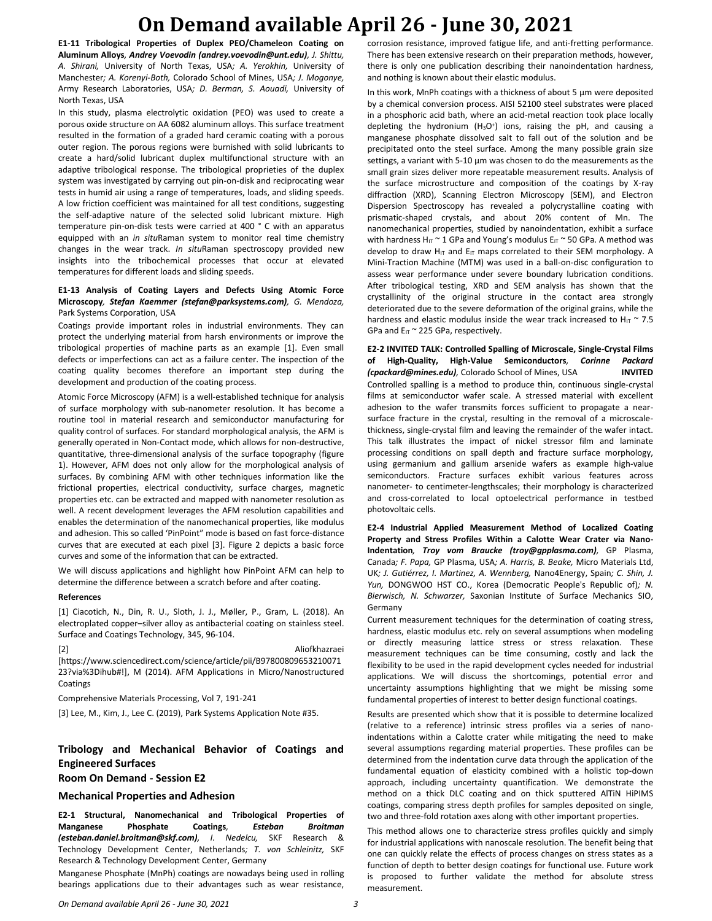**E1-11 Tribological Properties of Duplex PEO/Chameleon Coating on Aluminum Alloys***, Andrey Voevodin (andrey.voevodin@unt.edu), J. Shittu, A. Shirani,* University of North Texas, USA*; A. Yerokhin,* University of Manchester*; A. Korenyi-Both,* Colorado School of Mines, USA*; J. Mogonye,*  Army Research Laboratories, USA*; D. Berman, S. Aouadi,* University of North Texas, USA

In this study, plasma electrolytic oxidation (PEO) was used to create a porous oxide structure on AA 6082 aluminum alloys. This surface treatment resulted in the formation of a graded hard ceramic coating with a porous outer region. The porous regions were burnished with solid lubricants to create a hard/solid lubricant duplex multifunctional structure with an adaptive tribological response. The tribological proprieties of the duplex system was investigated by carrying out pin-on-disk and reciprocating wear tests in humid air using a range of temperatures, loads, and sliding speeds. A low friction coefficient was maintained for all test conditions, suggesting the self-adaptive nature of the selected solid lubricant mixture. High temperature pin-on-disk tests were carried at 400 ° C with an apparatus equipped with an *in situ*Raman system to monitor real time chemistry changes in the wear track. *In situ*Raman spectroscopy provided new insights into the tribochemical processes that occur at elevated temperatures for different loads and sliding speeds.

#### **E1-13 Analysis of Coating Layers and Defects Using Atomic Force Microscopy***, Stefan Kaemmer (stefan@parksystems.com), G. Mendoza,*  Park Systems Corporation, USA

Coatings provide important roles in industrial environments. They can protect the underlying material from harsh environments or improve the tribological properties of machine parts as an example [1]. Even small defects or imperfections can act as a failure center. The inspection of the coating quality becomes therefore an important step during the development and production of the coating process.

Atomic Force Microscopy (AFM) is a well-established technique for analysis of surface morphology with sub-nanometer resolution. It has become a routine tool in material research and semiconductor manufacturing for quality control of surfaces. For standard morphological analysis, the AFM is generally operated in Non-Contact mode, which allows for non-destructive, quantitative, three-dimensional analysis of the surface topography (figure 1). However, AFM does not only allow for the morphological analysis of surfaces. By combining AFM with other techniques information like the frictional properties, electrical conductivity, surface charges, magnetic properties etc. can be extracted and mapped with nanometer resolution as well. A recent development leverages the AFM resolution capabilities and enables the determination of the nanomechanical properties, like modulus and adhesion. This so called 'PinPoint" mode is based on fast force-distance curves that are executed at each pixel [3]. Figure 2 depicts a basic force curves and some of the information that can be extracted.

We will discuss applications and highlight how PinPoint AFM can help to determine the difference between a scratch before and after coating.

#### **References**

[1] Ciacotich, N., Din, R. U., Sloth, J. J., Møller, P., Gram, L. (2018). An electroplated copper–silver alloy as antibacterial coating on stainless steel. Surface and Coatings Technology, 345, 96-104.

#### [2] Aliofkhazraei

[https://www.sciencedirect.com/science/article/pii/B97800809653210071 23?via%3Dihub#!], M (2014). AFM Applications in Micro/Nanostructured Coatings

Comprehensive Materials Processing, Vol 7, 191-241

[3] Lee, M., Kim, J., Lee C. (2019), Park Systems Application Note #35.

### **Tribology and Mechanical Behavior of Coatings and Engineered Surfaces Room On Demand - Session E2**

### **Mechanical Properties and Adhesion**

**E2-1 Structural, Nanomechanical and Tribological Properties of Manganese Phosphate Coatings***, Esteban Broitman (esteban.daniel.broitman@skf.com), I. Nedelcu,* SKF Research & Technology Development Center, Netherlands*; T. von Schleinitz,* SKF Research & Technology Development Center, Germany

Manganese Phosphate (MnPh) coatings are nowadays being used in rolling bearings applications due to their advantages such as wear resistance, corrosion resistance, improved fatigue life, and anti-fretting performance. There has been extensive research on their preparation methods, however, there is only one publication describing their nanoindentation hardness, and nothing is known about their elastic modulus.

In this work, MnPh coatings with a thickness of about 5 µm were deposited by a chemical conversion process. AISI 52100 steel substrates were placed in a phosphoric acid bath, where an acid-metal reaction took place locally depleting the hydronium  $(H<sub>3</sub>O<sup>+</sup>)$  ions, raising the pH, and causing a manganese phosphate dissolved salt to fall out of the solution and be precipitated onto the steel surface. Among the many possible grain size settings, a variant with 5-10 μm was chosen to do the measurements as the small grain sizes deliver more repeatable measurement results. Analysis of the surface microstructure and composition of the coatings by X-ray diffraction (XRD), Scanning Electron Microscopy (SEM), and Electron Dispersion Spectroscopy has revealed a polycrystalline coating with prismatic-shaped crystals, and about 20% content of Mn. The nanomechanical properties, studied by nanoindentation, exhibit a surface with hardness  $H_{IT} \cong 1$  GPa and Young's modulus  $E_{IT} \cong 50$  GPa. A method was develop to draw  $H_{IT}$  and  $E_{IT}$  maps correlated to their SEM morphology. A Mini-Traction Machine (MTM) was used in a ball-on-disc configuration to assess wear performance under severe boundary lubrication conditions. After tribological testing, XRD and SEM analysis has shown that the crystallinity of the original structure in the contact area strongly deteriorated due to the severe deformation of the original grains, while the hardness and elastic modulus inside the wear track increased to  $H_{IT} \approx 7.5$ GPa and  $E_{IT} \approx 225$  GPa, respectively.

**E2-2 INVITED TALK: Controlled Spalling of Microscale, Single-Crystal Films of High-Quality, High-Value Semiconductors***, Corinne Packard (cpackard@mines.edu),* Colorado School of Mines, USA **INVITED** Controlled spalling is a method to produce thin, continuous single-crystal films at semiconductor wafer scale. A stressed material with excellent adhesion to the wafer transmits forces sufficient to propagate a nearsurface fracture in the crystal, resulting in the removal of a microscalethickness, single-crystal film and leaving the remainder of the wafer intact. This talk illustrates the impact of nickel stressor film and laminate processing conditions on spall depth and fracture surface morphology, using germanium and gallium arsenide wafers as example high-value semiconductors. Fracture surfaces exhibit various features across nanometer- to centimeter-lengthscales; their morphology is characterized and cross-correlated to local optoelectrical performance in testbed photovoltaic cells.

**E2-4 Industrial Applied Measurement Method of Localized Coating Property and Stress Profiles Within a Calotte Wear Crater via Nano-Indentation***, Troy vom Braucke (troy@gpplasma.com),* GP Plasma, Canada*; F. Papa,* GP Plasma, USA*; A. Harris, B. Beake,* Micro Materials Ltd, UK*; J. Gutiérrez, I. Martinez, A. Wennberg,* Nano4Energy, Spain*; C. Shin, J. Yun,* DONGWOO HST CO., Korea (Democratic People's Republic of)*; N. Bierwisch, N. Schwarzer,* Saxonian Institute of Surface Mechanics SIO, Germany

Current measurement techniques for the determination of coating stress, hardness, elastic modulus etc. rely on several assumptions when modeling or directly measuring lattice stress or stress relaxation. These measurement techniques can be time consuming, costly and lack the flexibility to be used in the rapid development cycles needed for industrial applications. We will discuss the shortcomings, potential error and uncertainty assumptions highlighting that we might be missing some fundamental properties of interest to better design functional coatings.

Results are presented which show that it is possible to determine localized (relative to a reference) intrinsic stress profiles via a series of nanoindentations within a Calotte crater while mitigating the need to make several assumptions regarding material properties. These profiles can be determined from the indentation curve data through the application of the fundamental equation of elasticity combined with a holistic top-down approach, including uncertainty quantification. We demonstrate the method on a thick DLC coating and on thick sputtered AlTiN HiPIMS coatings, comparing stress depth profiles for samples deposited on single, two and three-fold rotation axes along with other important properties.

This method allows one to characterize stress profiles quickly and simply for industrial applications with nanoscale resolution. The benefit being that one can quickly relate the effects of process changes on stress states as a function of depth to better design coatings for functional use. Future work is proposed to further validate the method for absolute stress measurement.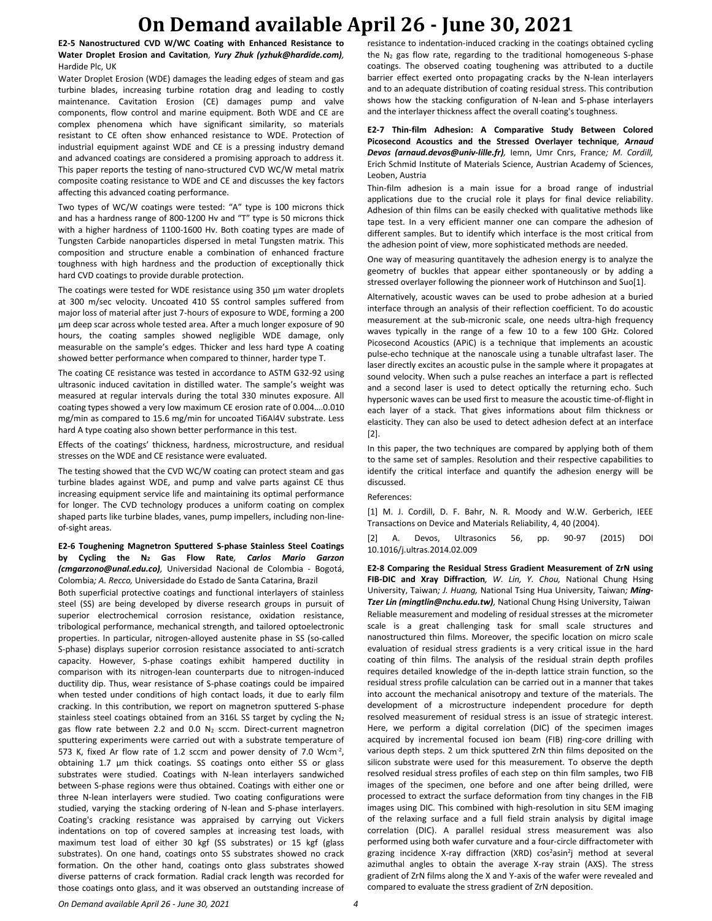**E2-5 Nanostructured CVD W/WC Coating with Enhanced Resistance to Water Droplet Erosion and Cavitation***, Yury Zhuk (yzhuk@hardide.com),*  Hardide Plc, UK

Water Droplet Erosion (WDE) damages the leading edges of steam and gas turbine blades, increasing turbine rotation drag and leading to costly maintenance. Cavitation Erosion (CE) damages pump and valve components, flow control and marine equipment. Both WDE and CE are complex phenomena which have significant similarity, so materials resistant to CE often show enhanced resistance to WDE. Protection of industrial equipment against WDE and CE is a pressing industry demand and advanced coatings are considered a promising approach to address it. This paper reports the testing of nano-structured CVD WC/W metal matrix composite coating resistance to WDE and CE and discusses the key factors affecting this advanced coating performance.

Two types of WC/W coatings were tested: "A" type is 100 microns thick and has a hardness range of 800-1200 Hv and "T" type is 50 microns thick with a higher hardness of 1100-1600 Hv. Both coating types are made of Tungsten Carbide nanoparticles dispersed in metal Tungsten matrix. This composition and structure enable a combination of enhanced fracture toughness with high hardness and the production of exceptionally thick hard CVD coatings to provide durable protection.

The coatings were tested for WDE resistance using 350 µm water droplets at 300 m/sec velocity. Uncoated 410 SS control samples suffered from major loss of material after just 7-hours of exposure to WDE, forming a 200 µm deep scar across whole tested area. After a much longer exposure of 90 hours, the coating samples showed negligible WDE damage, only measurable on the sample's edges. Thicker and less hard type A coating showed better performance when compared to thinner, harder type T.

The coating CE resistance was tested in accordance to ASTM G32-92 using ultrasonic induced cavitation in distilled water. The sample's weight was measured at regular intervals during the total 330 minutes exposure. All coating types showed a very low maximum CE erosion rate of 0.004….0.010 mg/min as compared to 15.6 mg/min for uncoated Ti6Al4V substrate. Less hard A type coating also shown better performance in this test.

Effects of the coatings' thickness, hardness, microstructure, and residual stresses on the WDE and CE resistance were evaluated.

The testing showed that the CVD WC/W coating can protect steam and gas turbine blades against WDE, and pump and valve parts against CE thus increasing equipment service life and maintaining its optimal performance for longer. The CVD technology produces a uniform coating on complex shaped parts like turbine blades, vanes, pump impellers, including non-lineof-sight areas.

**E2-6 Toughening Magnetron Sputtered S-phase Stainless Steel Coatings by Cycling the N<sup>2</sup> Gas Flow Rate***, Carlos Mario Garzon (cmgarzono@unal.edu.co),* Universidad Nacional de Colombia - Bogotá, Colombia*; A. Recco,* Universidade do Estado de Santa Catarina, Brazil

Both superficial protective coatings and functional interlayers of stainless steel (SS) are being developed by diverse research groups in pursuit of superior electrochemical corrosion resistance, oxidation resistance, tribological performance, mechanical strength, and tailored optoelectronic properties. In particular, nitrogen-alloyed austenite phase in SS (so-called S-phase) displays superior corrosion resistance associated to anti-scratch capacity. However, S-phase coatings exhibit hampered ductility in comparison with its nitrogen-lean counterparts due to nitrogen-induced ductility dip. Thus, wear resistance of S-phase coatings could be impaired when tested under conditions of high contact loads, it due to early film cracking. In this contribution, we report on magnetron sputtered S-phase stainless steel coatings obtained from an 316L SS target by cycling the N<sup>2</sup> gas flow rate between 2.2 and 0.0  $N_2$  sccm. Direct-current magnetron sputtering experiments were carried out with a substrate temperature of 573 K, fixed Ar flow rate of 1.2 sccm and power density of 7.0 Wcm<sup>-2</sup>, obtaining 1.7 μm thick coatings. SS coatings onto either SS or glass substrates were studied. Coatings with N-lean interlayers sandwiched between S-phase regions were thus obtained. Coatings with either one or three N-lean interlayers were studied. Two coating configurations were studied, varying the stacking ordering of N-lean and S-phase interlayers. Coating's cracking resistance was appraised by carrying out Vickers indentations on top of covered samples at increasing test loads, with maximum test load of either 30 kgf (SS substrates) or 15 kgf (glass substrates). On one hand, coatings onto SS substrates showed no crack formation. On the other hand, coatings onto glass substrates showed diverse patterns of crack formation. Radial crack length was recorded for those coatings onto glass, and it was observed an outstanding increase of resistance to indentation-induced cracking in the coatings obtained cycling the  $N_2$  gas flow rate, regarding to the traditional homogeneous S-phase coatings. The observed coating toughening was attributed to a ductile barrier effect exerted onto propagating cracks by the N-lean interlayers and to an adequate distribution of coating residual stress. This contribution shows how the stacking configuration of N-lean and S-phase interlayers and the interlayer thickness affect the overall coating's toughness.

**E2-7 Thin-film Adhesion: A Comparative Study Between Colored Picosecond Acoustics and the Stressed Overlayer technique***, Arnaud Devos (arnaud.devos@univ-lille.fr),* Iemn, Umr Cnrs, France*; M. Cordill,*  Erich Schmid Institute of Materials Science, Austrian Academy of Sciences, Leoben, Austria

Thin-film adhesion is a main issue for a broad range of industrial applications due to the crucial role it plays for final device reliability. Adhesion of thin films can be easily checked with qualitative methods like tape test. In a very efficient manner one can compare the adhesion of different samples. But to identify which interface is the most critical from the adhesion point of view, more sophisticated methods are needed.

One way of measuring quantitavely the adhesion energy is to analyze the geometry of buckles that appear either spontaneously or by adding a stressed overlayer following the pionneer work of Hutchinson and Suo[1].

Alternatively, acoustic waves can be used to probe adhesion at a buried interface through an analysis of their reflection coefficient. To do acoustic measurement at the sub-micronic scale, one needs ultra-high frequency waves typically in the range of a few 10 to a few 100 GHz. Colored Picosecond Acoustics (APiC) is a technique that implements an acoustic pulse-echo technique at the nanoscale using a tunable ultrafast laser. The laser directly excites an acoustic pulse in the sample where it propagates at sound velocity. When such a pulse reaches an interface a part is reflected and a second laser is used to detect optically the returning echo. Such hypersonic waves can be used first to measure the acoustic time-of-flight in each layer of a stack. That gives informations about film thickness or elasticity. They can also be used to detect adhesion defect at an interface [2].

In this paper, the two techniques are compared by applying both of them to the same set of samples. Resolution and their respective capabilities to identify the critical interface and quantify the adhesion energy will be discussed.

#### References:

[1] M. J. Cordill, D. F. Bahr, N. R. Moody and W.W. Gerberich, IEEE Transactions on Device and Materials Reliability, 4, 40 (2004).

[2] A. Devos, Ultrasonics 56, pp. 90-97 (2015) DOI 10.1016/j.ultras.2014.02.009

**E2-8 Comparing the Residual Stress Gradient Measurement of ZrN using FIB-DIC and Xray Diffraction***, W. Lin, Y. Chou,* National Chung Hsing University, Taiwan*; J. Huang,* National Tsing Hua University, Taiwan*; Ming-Tzer Lin (mingtlin@nchu.edu.tw),* National Chung Hsing University, Taiwan Reliable measurement and modeling of residual stresses at the micrometer scale is a great challenging task for small scale structures and nanostructured thin films. Moreover, the specific location on micro scale evaluation of residual stress gradients is a very critical issue in the hard coating of thin films. The analysis of the residual strain depth profiles requires detailed knowledge of the in-depth lattice strain function, so the residual stress profile calculation can be carried out in a manner that takes into account the mechanical anisotropy and texture of the materials. The development of a microstructure independent procedure for depth resolved measurement of residual stress is an issue of strategic interest. Here, we perform a digital correlation (DIC) of the specimen images acquired by incremental focused ion beam (FIB) ring-core drilling with various depth steps. 2 um thick sputtered ZrN thin films deposited on the silicon substrate were used for this measurement. To observe the depth resolved residual stress profiles of each step on thin film samples, two FIB images of the specimen, one before and one after being drilled, were processed to extract the surface deformation from tiny changes in the FIB images using DIC. This combined with high-resolution in situ SEM imaging of the relaxing surface and a full field strain analysis by digital image correlation (DIC). A parallel residual stress measurement was also performed using both wafer curvature and a four-circle diffractometer with grazing incidence X-ray diffraction (XRD) cos<sup>2</sup>asin<sup>2</sup>j method at several azimuthal angles to obtain the average X-ray strain (AXS). The stress gradient of ZrN films along the X and Y-axis of the wafer were revealed and compared to evaluate the stress gradient of ZrN deposition.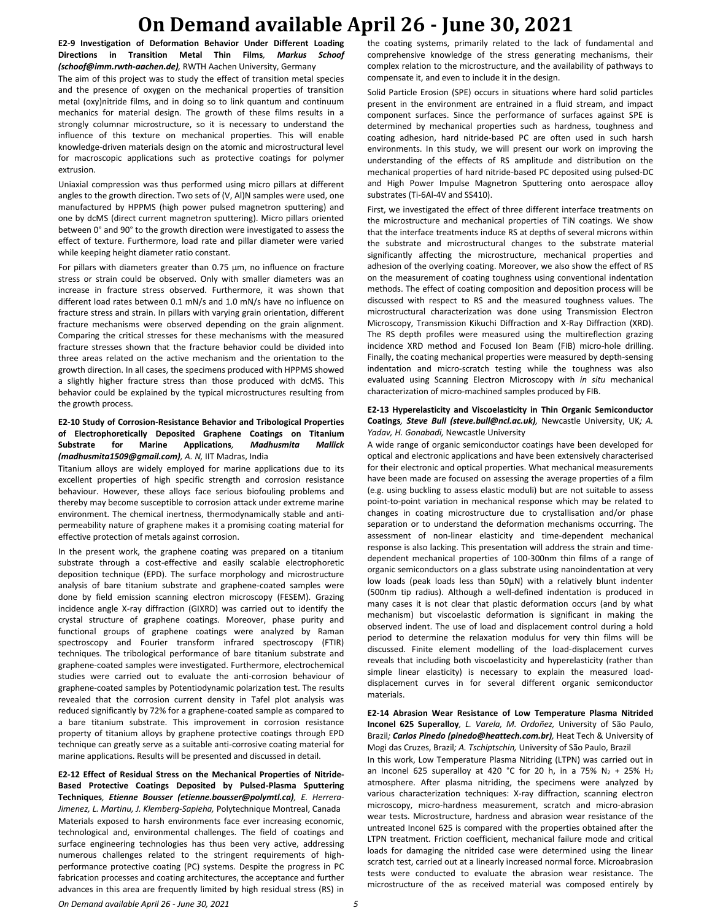**E2-9 Investigation of Deformation Behavior Under Different Loading Directions in Transition Metal Thin Films***, Markus Schoof (schoof@imm.rwth-aachen.de),* RWTH Aachen University, Germany The aim of this project was to study the effect of transition metal species and the presence of oxygen on the mechanical properties of transition metal (oxy)nitride films, and in doing so to link quantum and continuum mechanics for material design. The growth of these films results in a strongly columnar microstructure, so it is necessary to understand the influence of this texture on mechanical properties. This will enable knowledge-driven materials design on the atomic and microstructural level for macroscopic applications such as protective coatings for polymer extrusion.

Uniaxial compression was thus performed using micro pillars at different angles to the growth direction. Two sets of (V, Al)N samples were used, one manufactured by HPPMS (high power pulsed magnetron sputtering) and one by dcMS (direct current magnetron sputtering). Micro pillars oriented between 0° and 90° to the growth direction were investigated to assess the effect of texture. Furthermore, load rate and pillar diameter were varied while keeping height diameter ratio constant.

For pillars with diameters greater than 0.75 µm, no influence on fracture stress or strain could be observed. Only with smaller diameters was an increase in fracture stress observed. Furthermore, it was shown that different load rates between 0.1 mN/s and 1.0 mN/s have no influence on fracture stress and strain. In pillars with varying grain orientation, different fracture mechanisms were observed depending on the grain alignment. Comparing the critical stresses for these mechanisms with the measured fracture stresses shown that the fracture behavior could be divided into three areas related on the active mechanism and the orientation to the growth direction. In all cases, the specimens produced with HPPMS showed a slightly higher fracture stress than those produced with dcMS. This behavior could be explained by the typical microstructures resulting from the growth process.

#### **E2-10 Study of Corrosion-Resistance Behavior and Tribological Properties of Electrophoretically Deposited Graphene Coatings on Titanium Substrate for Marine Applications***, Madhusmita Mallick (madhusmita1509@gmail.com), A. N,* IIT Madras, India

Titanium alloys are widely employed for marine applications due to its excellent properties of high specific strength and corrosion resistance behaviour. However, these alloys face serious biofouling problems and thereby may become susceptible to corrosion attack under extreme marine environment. The chemical inertness, thermodynamically stable and antipermeability nature of graphene makes it a promising coating material for effective protection of metals against corrosion.

In the present work, the graphene coating was prepared on a titanium substrate through a cost-effective and easily scalable electrophoretic deposition technique (EPD). The surface morphology and microstructure analysis of bare titanium substrate and graphene-coated samples were done by field emission scanning electron microscopy (FESEM). Grazing incidence angle X-ray diffraction (GIXRD) was carried out to identify the crystal structure of graphene coatings. Moreover, phase purity and functional groups of graphene coatings were analyzed by Raman spectroscopy and Fourier transform infrared spectroscopy (FTIR) techniques. The tribological performance of bare titanium substrate and graphene-coated samples were investigated. Furthermore, electrochemical studies were carried out to evaluate the anti-corrosion behaviour of graphene-coated samples by Potentiodynamic polarization test. The results revealed that the corrosion current density in Tafel plot analysis was reduced significantly by 72% for a graphene-coated sample as compared to a bare titanium substrate. This improvement in corrosion resistance property of titanium alloys by graphene protective coatings through EPD technique can greatly serve as a suitable anti-corrosive coating material for marine applications. Results will be presented and discussed in detail.

**E2-12 Effect of Residual Stress on the Mechanical Properties of Nitride-Based Protective Coatings Deposited by Pulsed-Plasma Sputtering Techniques***, Etienne Bousser (etienne.bousser@polymtl.ca), E. Herrera-Jimenez, L. Martinu, J. Klemberg-Sapieha,* Polytechnique Montreal, Canada Materials exposed to harsh environments face ever increasing economic, technological and, environmental challenges. The field of coatings and surface engineering technologies has thus been very active, addressing numerous challenges related to the stringent requirements of highperformance protective coating (PC) systems. Despite the progress in PC fabrication processes and coating architectures, the acceptance and further advances in this area are frequently limited by high residual stress (RS) in the coating systems, primarily related to the lack of fundamental and comprehensive knowledge of the stress generating mechanisms, their complex relation to the microstructure, and the availability of pathways to compensate it, and even to include it in the design.

Solid Particle Erosion (SPE) occurs in situations where hard solid particles present in the environment are entrained in a fluid stream, and impact component surfaces. Since the performance of surfaces against SPE is determined by mechanical properties such as hardness, toughness and coating adhesion, hard nitride-based PC are often used in such harsh environments. In this study, we will present our work on improving the understanding of the effects of RS amplitude and distribution on the mechanical properties of hard nitride-based PC deposited using pulsed-DC and High Power Impulse Magnetron Sputtering onto aerospace alloy substrates (Ti-6Al-4V and SS410).

First, we investigated the effect of three different interface treatments on the microstructure and mechanical properties of TiN coatings. We show that the interface treatments induce RS at depths of several microns within the substrate and microstructural changes to the substrate material significantly affecting the microstructure, mechanical properties and adhesion of the overlying coating. Moreover, we also show the effect of RS on the measurement of coating toughness using conventional indentation methods. The effect of coating composition and deposition process will be discussed with respect to RS and the measured toughness values. The microstructural characterization was done using Transmission Electron Microscopy, Transmission Kikuchi Diffraction and X-Ray Diffraction (XRD). The RS depth profiles were measured using the multireflection grazing incidence XRD method and Focused Ion Beam (FIB) micro-hole drilling. Finally, the coating mechanical properties were measured by depth-sensing indentation and micro-scratch testing while the toughness was also evaluated using Scanning Electron Microscopy with *in situ* mechanical characterization of micro-machined samples produced by FIB.

#### **E2-13 Hyperelasticity and Viscoelasticity in Thin Organic Semiconductor Coatings***, Steve Bull (steve.bull@ncl.ac.uk),* Newcastle University, UK*; A. Yadav, H. Gonabadi,* Newcastle University

A wide range of organic semiconductor coatings have been developed for optical and electronic applications and have been extensively characterised for their electronic and optical properties. What mechanical measurements have been made are focused on assessing the average properties of a film (e.g. using buckling to assess elastic moduli) but are not suitable to assess point-to-point variation in mechanical response which may be related to changes in coating microstructure due to crystallisation and/or phase separation or to understand the deformation mechanisms occurring. The assessment of non-linear elasticity and time-dependent mechanical response is also lacking. This presentation will address the strain and timedependent mechanical properties of 100-300nm thin films of a range of organic semiconductors on a glass substrate using nanoindentation at very low loads (peak loads less than 50μN) with a relatively blunt indenter (500nm tip radius). Although a well-defined indentation is produced in many cases it is not clear that plastic deformation occurs (and by what mechanism) but viscoelastic deformation is significant in making the observed indent. The use of load and displacement control during a hold period to determine the relaxation modulus for very thin films will be discussed. Finite element modelling of the load-displacement curves reveals that including both viscoelasticity and hyperelasticity (rather than simple linear elasticity) is necessary to explain the measured loaddisplacement curves in for several different organic semiconductor materials.

#### **E2-14 Abrasion Wear Resistance of Low Temperature Plasma Nitrided Inconel 625 Superalloy***, L. Varela, M. Ordoñez,* University of São Paulo, Brazil*; Carlos Pinedo (pinedo@heattech.com.br),* Heat Tech & University of Mogi das Cruzes, Brazil*; A. Tschiptschin,* University of São Paulo, Brazil

In this work, Low Temperature Plasma Nitriding (LTPN) was carried out in an Inconel 625 superalloy at 420 °C for 20 h, in a 75% N<sub>2</sub> + 25% H<sub>2</sub> atmosphere. After plasma nitriding, the specimens were analyzed by various characterization techniques: X-ray diffraction, scanning electron microscopy, micro-hardness measurement, scratch and micro-abrasion wear tests. Microstructure, hardness and abrasion wear resistance of the untreated Inconel 625 is compared with the properties obtained after the LTPN treatment. Friction coefficient, mechanical failure mode and critical loads for damaging the nitrided case were determined using the linear scratch test, carried out at a linearly increased normal force. Microabrasion tests were conducted to evaluate the abrasion wear resistance. The microstructure of the as received material was composed entirely by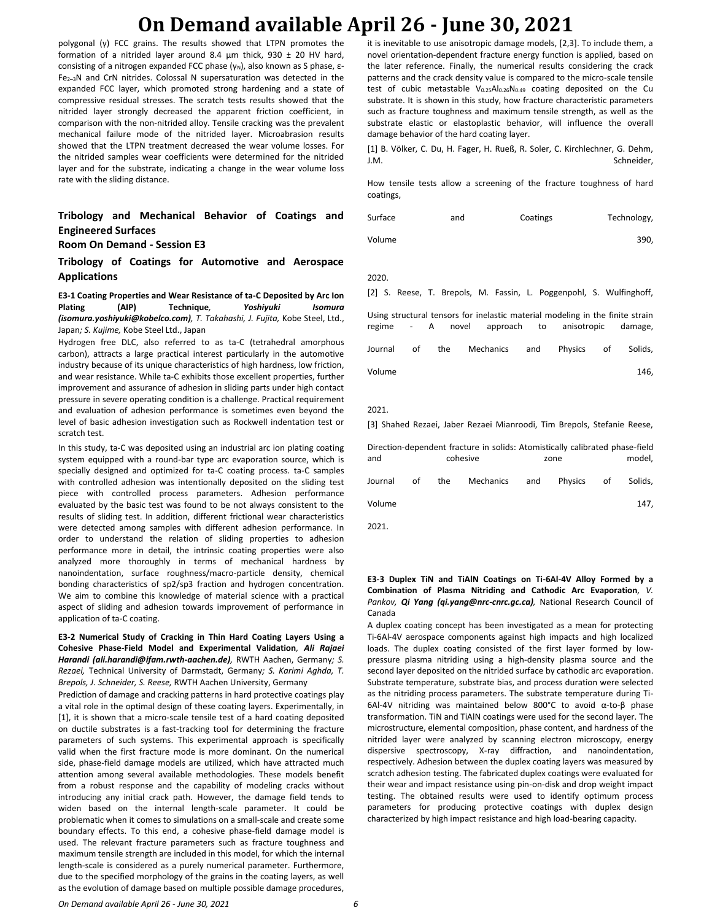polygonal (γ) FCC grains. The results showed that LTPN promotes the formation of a nitrided layer around 8.4  $\mu$ m thick, 930  $\pm$  20 HV hard, consisting of a nitrogen expanded FCC phase (γ<sub>N</sub>), also known as S phase, ε-Fe2–3N and CrN nitrides. Colossal N supersaturation was detected in the expanded FCC layer, which promoted strong hardening and a state of compressive residual stresses. The scratch tests results showed that the nitrided layer strongly decreased the apparent friction coefficient, in comparison with the non-nitrided alloy. Tensile cracking was the prevalent mechanical failure mode of the nitrided layer. Microabrasion results showed that the LTPN treatment decreased the wear volume losses. For the nitrided samples wear coefficients were determined for the nitrided layer and for the substrate, indicating a change in the wear volume loss rate with the sliding distance.

### **Tribology and Mechanical Behavior of Coatings and Engineered Surfaces**

**Room On Demand - Session E3**

**Tribology of Coatings for Automotive and Aerospace Applications**

**E3-1 Coating Properties and Wear Resistance of ta-C Deposited by Arc Ion Plating (AIP) Technique***, Yoshiyuki Isomura (isomura.yoshiyuki@kobelco.com), T. Takahashi, J. Fujita,* Kobe Steel, Ltd., Japan*; S. Kujime,* Kobe Steel Ltd., Japan

Hydrogen free DLC, also referred to as ta-C (tetrahedral amorphous carbon), attracts a large practical interest particularly in the automotive industry because of its unique characteristics of high hardness, low friction, and wear resistance. While ta-C exhibits those excellent properties, further improvement and assurance of adhesion in sliding parts under high contact pressure in severe operating condition is a challenge. Practical requirement and evaluation of adhesion performance is sometimes even beyond the level of basic adhesion investigation such as Rockwell indentation test or scratch test.

In this study, ta-C was deposited using an industrial arc ion plating coating system equipped with a round-bar type arc evaporation source, which is specially designed and optimized for ta-C coating process. ta-C samples with controlled adhesion was intentionally deposited on the sliding test piece with controlled process parameters. Adhesion performance evaluated by the basic test was found to be not always consistent to the results of sliding test. In addition, different frictional wear characteristics were detected among samples with different adhesion performance. In order to understand the relation of sliding properties to adhesion performance more in detail, the intrinsic coating properties were also analyzed more thoroughly in terms of mechanical hardness by nanoindentation, surface roughness/macro-particle density, chemical bonding characteristics of sp2/sp3 fraction and hydrogen concentration. We aim to combine this knowledge of material science with a practical aspect of sliding and adhesion towards improvement of performance in application of ta-C coating.

**E3-2 Numerical Study of Cracking in Thin Hard Coating Layers Using a Cohesive Phase-Field Model and Experimental Validation***, Ali Rajaei Harandi (ali.harandi@ifam.rwth-aachen.de),* RWTH Aachen, Germany*; S. Rezaei,* Technical University of Darmstadt, Germany*; S. Karimi Aghda, T. Brepols, J. Schneider, S. Reese,* RWTH Aachen University, Germany

Prediction of damage and cracking patterns in hard protective coatings play a vital role in the optimal design of these coating layers. Experimentally, in [1], it is shown that a micro-scale tensile test of a hard coating deposited on ductile substrates is a fast-tracking tool for determining the fracture parameters of such systems. This experimental approach is specifically valid when the first fracture mode is more dominant. On the numerical side, phase-field damage models are utilized, which have attracted much attention among several available methodologies. These models benefit from a robust response and the capability of modeling cracks without introducing any initial crack path. However, the damage field tends to widen based on the internal length-scale parameter. It could be problematic when it comes to simulations on a small-scale and create some boundary effects. To this end, a cohesive phase-field damage model is used. The relevant fracture parameters such as fracture toughness and maximum tensile strength are included in this model, for which the internal length-scale is considered as a purely numerical parameter. Furthermore, due to the specified morphology of the grains in the coating layers, as well as the evolution of damage based on multiple possible damage procedures,

it is inevitable to use anisotropic damage models, [2,3]. To include them, a novel orientation-dependent fracture energy function is applied, based on the later reference. Finally, the numerical results considering the crack patterns and the crack density value is compared to the micro-scale tensile test of cubic metastable V<sub>0.25</sub>Al<sub>0.26</sub>N<sub>0.49</sub> coating deposited on the Cu substrate. It is shown in this study, how fracture characteristic parameters such as fracture toughness and maximum tensile strength, as well as the substrate elastic or elastoplastic behavior, will influence the overall damage behavior of the hard coating layer.

[1] B. Völker, C. Du, H. Fager, H. Rueß, R. Soler, C. Kirchlechner, G. Dehm, J.M. Schneider,

How tensile tests allow a screening of the fracture toughness of hard coatings,

| Surface | and | Coatings | Technology, |
|---------|-----|----------|-------------|
| Volume  |     |          | 390,        |

2020.

[2] S. Reese, T. Brepols, M. Fassin, L. Poggenpohl, S. Wulfinghoff,

Using structural tensors for inelastic material modeling in the finite strain regime - A novel approach to anisotropic damage,

| Journal of the |  | Mechanics and Physics of Solids, |  |      |
|----------------|--|----------------------------------|--|------|
| Volume         |  |                                  |  | 146. |

#### 2021.

[3] Shahed Rezaei, Jaber Rezaei Mianroodi, Tim Brepols, Stefanie Reese,

| and        | Direction-dependent fracture in solids: Atomistically calibrated phase-field<br>cohesive |     | zone      |     | model.     |  |         |
|------------|------------------------------------------------------------------------------------------|-----|-----------|-----|------------|--|---------|
| Journal of |                                                                                          | the | Mechanics | and | Physics of |  | Solids. |
| Volume     |                                                                                          |     |           |     |            |  | 147.    |
| 2021.      |                                                                                          |     |           |     |            |  |         |

**E3-3 Duplex TiN and TiAlN Coatings on Ti-6Al-4V Alloy Formed by a Combination of Plasma Nitriding and Cathodic Arc Evaporation***, V. Pankov, Qi Yang (qi.yang@nrc-cnrc.gc.ca),* National Research Council of Canada

A duplex coating concept has been investigated as a mean for protecting Ti-6Al-4V aerospace components against high impacts and high localized loads. The duplex coating consisted of the first layer formed by lowpressure plasma nitriding using a high-density plasma source and the second layer deposited on the nitrided surface by cathodic arc evaporation. Substrate temperature, substrate bias, and process duration were selected as the nitriding process parameters. The substrate temperature during Ti-6Al-4V nitriding was maintained below 800°C to avoid α-to-β phase transformation. TiN and TiAlN coatings were used for the second layer. The microstructure, elemental composition, phase content, and hardness of the nitrided layer were analyzed by scanning electron microscopy, energy dispersive spectroscopy, X-ray diffraction, and nanoindentation, respectively. Adhesion between the duplex coating layers was measured by scratch adhesion testing. The fabricated duplex coatings were evaluated for their wear and impact resistance using pin-on-disk and drop weight impact testing. The obtained results were used to identify optimum process parameters for producing protective coatings with duplex design characterized by high impact resistance and high load-bearing capacity.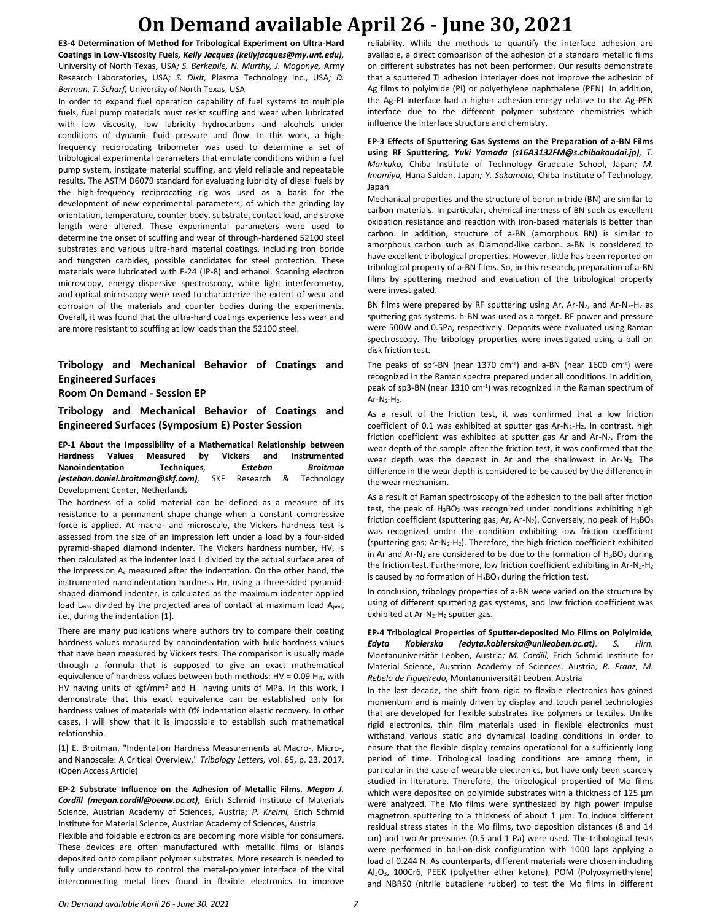**E3-4 Determination of Method for Tribological Experiment on Ultra-Hard Coatings in Low-Viscosity Fuels***, Kelly Jacques (kellyjacques@my.unt.edu),*  University of North Texas, USA*; S. Berkebile, N. Murthy, J. Mogonye,* Army Research Laboratories, USA*; S. Dixit,* Plasma Technology Inc., USA*; D. Berman, T. Scharf,* University of North Texas, USA

In order to expand fuel operation capability of fuel systems to multiple fuels, fuel pump materials must resist scuffing and wear when lubricated with low viscosity, low lubricity hydrocarbons and alcohols under conditions of dynamic fluid pressure and flow. In this work, a highfrequency reciprocating tribometer was used to determine a set of tribological experimental parameters that emulate conditions within a fuel pump system, instigate material scuffing, and yield reliable and repeatable results. The ASTM D6079 standard for evaluating lubricity of diesel fuels by the high-frequency reciprocating rig was used as a basis for the development of new experimental parameters, of which the grinding lay orientation, temperature, counter body, substrate, contact load, and stroke length were altered. These experimental parameters were used to determine the onset of scuffing and wear of through-hardened 52100 steel substrates and various ultra-hard material coatings, including iron boride and tungsten carbides, possible candidates for steel protection. These materials were lubricated with F-24 (JP-8) and ethanol. Scanning electron microscopy, energy dispersive spectroscopy, white light interferometry, and optical microscopy were used to characterize the extent of wear and corrosion of the materials and counter bodies during the experiments. Overall, it was found that the ultra-hard coatings experience less wear and are more resistant to scuffing at low loads than the 52100 steel.

### **Tribology and Mechanical Behavior of Coatings and Engineered Surfaces**

**Room On Demand - Session EP**

**Tribology and Mechanical Behavior of Coatings and Engineered Surfaces (Symposium E) Poster Session**

**EP-1 About the Impossibility of a Mathematical Relationship between Hardness Values Measured by Vickers and Instrumented Nanoindentation Techniques, Esteban Brown**<br>*(esteban.daniel.broitman@skf.com),* **SKF Research &** *(esteban.daniel.broitman@skf.com),* SKF Research & Technology Development Center, Netherlands

The hardness of a solid material can be defined as a measure of its resistance to a permanent shape change when a constant compressive force is applied. At macro- and microscale, the Vickers hardness test is assessed from the size of an impression left under a load by a four-sided pyramid-shaped diamond indenter. The Vickers hardness number, HV, is then calculated as the indenter load L divided by the actual surface area of the impression  $A_c$  measured after the indentation. On the other hand, the instrumented nanoindentation hardness  $H_{IT}$ , using a three-sided pyramidshaped diamond indenter, is calculated as the maximum indenter applied load L<sub>max</sub> divided by the projected area of contact at maximum load A<sub>pml</sub>, i.e., during the indentation [1].

There are many publications where authors try to compare their coating hardness values measured by nanoindentation with bulk hardness values that have been measured by Vickers tests. The comparison is usually made through a formula that is supposed to give an exact mathematical equivalence of hardness values between both methods: HV = 0.09  $H_{IT}$ , with HV having units of kgf/mm<sup>2</sup> and H<sub>IT</sub> having units of MPa. In this work, I demonstrate that this exact equivalence can be established only for hardness values of materials with 0% indentation elastic recovery. In other cases, I will show that it is impossible to establish such mathematical relationship.

[1] E. Broitman, "Indentation Hardness Measurements at Macro-, Micro-, and Nanoscale: A Critical Overview," *Tribology Letters,* vol. 65, p. 23, 2017. (Open Access Article)

**EP-2 Substrate Influence on the Adhesion of Metallic Films***, Megan J. Cordill (megan.cordill@oeaw.ac.at),* Erich Schmid Institute of Materials Science, Austrian Academy of Sciences, Austria*; P. Kreiml,* Erich Schmid Institute for Material Science, Austrian Academy of Sciences, Austria

Flexible and foldable electronics are becoming more visible for consumers. These devices are often manufactured with metallic films or islands deposited onto compliant polymer substrates. More research is needed to fully understand how to control the metal-polymer interface of the vital interconnecting metal lines found in flexible electronics to improve reliability. While the methods to quantify the interface adhesion are available, a direct comparison of the adhesion of a standard metallic films on different substrates has not been performed. Our results demonstrate that a sputtered Ti adhesion interlayer does not improve the adhesion of Ag films to polyimide (PI) or polyethylene naphthalene (PEN). In addition, the Ag-PI interface had a higher adhesion energy relative to the Ag-PEN interface due to the different polymer substrate chemistries which influence the interface structure and chemistry.

**EP-3 Effects of Sputtering Gas Systems on the Preparation of a-BN Films using RF Sputtering***, Yuki Yamada (s16A3132FM@s.chibakoudai.jp), T. Markuko,* Chiba Institute of Technology Graduate School, Japan*; M. Imamiya,* Hana Saidan, Japan*; Y. Sakamoto,* Chiba Institute of Technology, Japan

Mechanical properties and the structure of boron nitride (BN) are similar to carbon materials. In particular, chemical inertness of BN such as excellent oxidation resistance and reaction with iron-based materials is better than carbon. In addition, structure of a-BN (amorphous BN) is similar to amorphous carbon such as Diamond-like carbon. a-BN is considered to have excellent tribological properties. However, little has been reported on tribological property of a-BN films. So, in this research, preparation of a-BN films by sputtering method and evaluation of the tribological property were investigated.

BN films were prepared by RF sputtering using Ar,  $Ar-N_2$ , and  $Ar-N_2-H_2$  as sputtering gas systems. h-BN was used as a target. RF power and pressure were 500W and 0.5Pa, respectively. Deposits were evaluated using Raman spectroscopy. The tribology properties were investigated using a ball on disk friction test.

The peaks of sp<sup>2</sup>-BN (near 1370 cm<sup>-1</sup>) and a-BN (near 1600 cm<sup>-1</sup>) were recognized in the Raman spectra prepared under all conditions. In addition, peak of sp3-BN (near 1310 cm<sup>-1</sup>) was recognized in the Raman spectrum of Ar-N2-H2.

As a result of the friction test, it was confirmed that a low friction coefficient of 0.1 was exhibited at sputter gas  $Ar-N_2-H_2$ . In contrast, high friction coefficient was exhibited at sputter gas Ar and  $Ar-N<sub>2</sub>$ . From the wear depth of the sample after the friction test, it was confirmed that the wear depth was the deepest in Ar and the shallowest in Ar-N<sub>2</sub>. The difference in the wear depth is considered to be caused by the difference in the wear mechanism.

As a result of Raman spectroscopy of the adhesion to the ball after friction test, the peak of  $H_3BO_3$  was recognized under conditions exhibiting high friction coefficient (sputtering gas; Ar, Ar-N<sub>2</sub>). Conversely, no peak of  $H_3BO_3$ was recognized under the condition exhibiting low friction coefficient (sputtering gas; Ar-N<sub>2</sub>-H<sub>2</sub>). Therefore, the high friction coefficient exhibited in Ar and Ar-N<sub>2</sub> are considered to be due to the formation of  $H_3BO_3$  during the friction test. Furthermore, low friction coefficient exhibiting in Ar-N<sub>2</sub>-H<sub>2</sub> is caused by no formation of  $H_3BO_3$  during the friction test.

In conclusion, tribology properties of a-BN were varied on the structure by using of different sputtering gas systems, and low friction coefficient was exhibited at Ar-N<sub>2</sub>-H<sub>2</sub> sputter gas.

**EP-4 Tribological Properties of Sputter-deposited Mo Films on Polyimide***, Edyta Kobierska (edyta.kobierska@unileoben.ac.at), S. Hirn,*  Montanuniversität Leoben, Austria*; M. Cordill,* Erich Schmid Institute for Material Science, Austrian Academy of Sciences, Austria*; R. Franz, M. Rebelo de Figueiredo,* Montanuniversität Leoben, Austria

In the last decade, the shift from rigid to flexible electronics has gained momentum and is mainly driven by display and touch panel technologies that are developed for flexible substrates like polymers or textiles. Unlike rigid electronics, thin film materials used in flexible electronics must withstand various static and dynamical loading conditions in order to ensure that the flexible display remains operational for a sufficiently long period of time. Tribological loading conditions are among them, in particular in the case of wearable electronics, but have only been scarcely studied in literature. Therefore, the tribological propertied of Mo films which were deposited on polyimide substrates with a thickness of 125 um were analyzed. The Mo films were synthesized by high power impulse magnetron sputtering to a thickness of about  $1 \mu m$ . To induce different residual stress states in the Mo films, two deposition distances (8 and 14 cm) and two Ar pressures (0.5 and 1 Pa) were used. The tribological tests were performed in ball-on-disk configuration with 1000 laps applying a load of 0.244 N. As counterparts, different materials were chosen including Al2O3, 100Cr6, PEEK (polyether ether ketone), POM (Polyoxymethylene) and NBR50 (nitrile butadiene rubber) to test the Mo films in different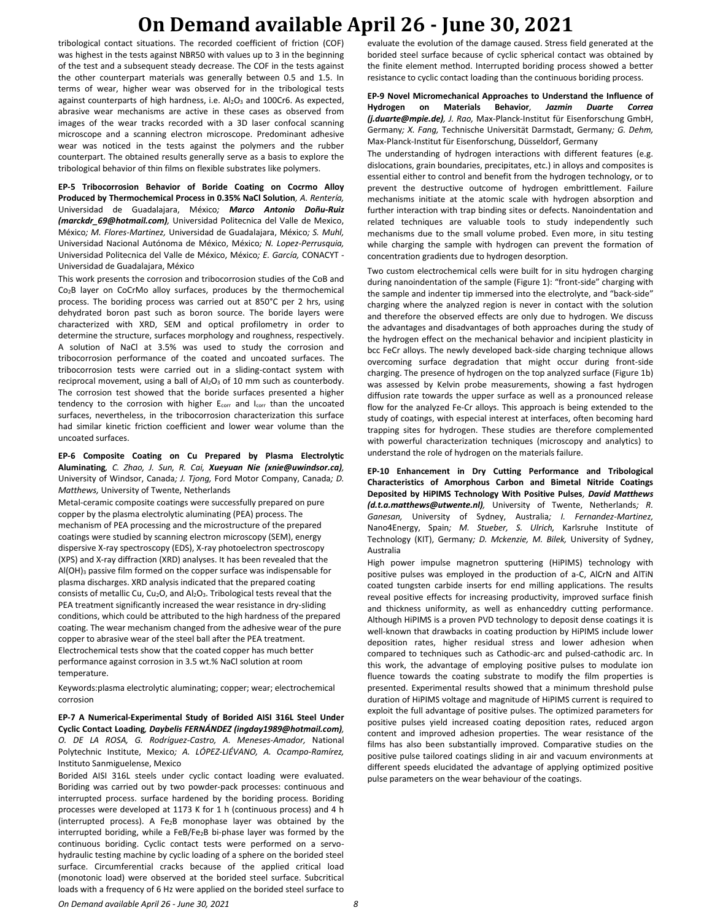tribological contact situations. The recorded coefficient of friction (COF) was highest in the tests against NBR50 with values up to 3 in the beginning of the test and a subsequent steady decrease. The COF in the tests against the other counterpart materials was generally between 0.5 and 1.5. In terms of wear, higher wear was observed for in the tribological tests against counterparts of high hardness, i.e. Al<sub>2</sub>O<sub>3</sub> and 100Cr6. As expected, abrasive wear mechanisms are active in these cases as observed from images of the wear tracks recorded with a 3D laser confocal scanning microscope and a scanning electron microscope. Predominant adhesive wear was noticed in the tests against the polymers and the rubber counterpart. The obtained results generally serve as a basis to explore the tribological behavior of thin films on flexible substrates like polymers.

**EP-5 Tribocorrosion Behavior of Boride Coating on Cocrmo Alloy Produced by Thermochemical Process in 0.35% NaCl Solution***, A. Rentería,*  Universidad de Guadalajara, México*; Marco Antonio Doñu-Ruiz (marckdr\_69@hotmail.com),* Universidad Politecnica del Valle de Mexico, México*; M. Flores-Martinez,* Universidad de Guadalajara, México*; S. Muhl,*  Universidad Nacional Autónoma de México, México*; N. Lopez-Perrusquia,*  Universidad Politecnica del Valle de México, México*; E. García,* CONACYT - Universidad de Guadalajara, México

This work presents the corrosion and tribocorrosion studies of the CoB and Co<sub>2</sub>B layer on CoCrMo alloy surfaces, produces by the thermochemical process. The boriding process was carried out at 850°C per 2 hrs, using dehydrated boron past such as boron source. The boride layers were characterized with XRD, SEM and optical profilometry in order to determine the structure, surfaces morphology and roughness, respectively. A solution of NaCl at 3.5% was used to study the corrosion and tribocorrosion performance of the coated and uncoated surfaces. The tribocorrosion tests were carried out in a sliding-contact system with reciprocal movement, using a ball of  $Al_2O_3$  of 10 mm such as counterbody. The corrosion test showed that the boride surfaces presented a higher tendency to the corrosion with higher E<sub>corr</sub> and I<sub>corr</sub> than the uncoated surfaces, nevertheless, in the tribocorrosion characterization this surface had similar kinetic friction coefficient and lower wear volume than the uncoated surfaces.

**EP-6 Composite Coating on Cu Prepared by Plasma Electrolytic Aluminating***, C. Zhao, J. Sun, R. Cai, Xueyuan Nie (xnie@uwindsor.ca),*  University of Windsor, Canada*; J. Tjong,* Ford Motor Company, Canada*; D. Matthews,* University of Twente, Netherlands

Metal-ceramic composite coatings were successfully prepared on pure copper by the plasma electrolytic aluminating (PEA) process. The mechanism of PEA processing and the microstructure of the prepared coatings were studied by scanning electron microscopy (SEM), energy dispersive X-ray spectroscopy (EDS), X-ray photoelectron spectroscopy (XPS) and X-ray diffraction (XRD) analyses. It has been revealed that the Al(OH)<sup>3</sup> passive film formed on the copper surface was indispensable for plasma discharges. XRD analysis indicated that the prepared coating consists of metallic Cu, Cu2O, and Al2O3. Tribological tests reveal that the PEA treatment significantly increased the wear resistance in dry-sliding conditions, which could be attributed to the high hardness of the prepared coating. The wear mechanism changed from the adhesive wear of the pure copper to abrasive wear of the steel ball after the PEA treatment. Electrochemical tests show that the coated copper has much better performance against corrosion in 3.5 wt.% NaCl solution at room temperature.

Keywords:plasma electrolytic aluminating; copper; wear; electrochemical corrosion

**EP-7 A Numerical-Experimental Study of Borided AISI 316L Steel Under Cyclic Contact Loading***, Daybelis FERNÁNDEZ (ingday1989@hotmail.com), O. DE LA ROSA, G. Rodríguez-Castro, A. Meneses-Amador,* National Polytechnic Institute, Mexico*; A. LÓPEZ-LIÉVANO, A. Ocampo-Ramírez,*  Instituto Sanmiguelense, Mexico

Borided AISI 316L steels under cyclic contact loading were evaluated. Boriding was carried out by two powder-pack processes: continuous and interrupted process. surface hardened by the boriding process. Boriding processes were developed at 1173 K for 1 h (continuous process) and 4 h (interrupted process). A Fe2B monophase layer was obtained by the interrupted boriding, while a FeB/Fe2B bi-phase layer was formed by the continuous boriding. Cyclic contact tests were performed on a servohydraulic testing machine by cyclic loading of a sphere on the borided steel surface. Circumferential cracks because of the applied critical load (monotonic load) were observed at the borided steel surface. Subcritical loads with a frequency of 6 Hz were applied on the borided steel surface to

evaluate the evolution of the damage caused. Stress field generated at the borided steel surface because of cyclic spherical contact was obtained by the finite element method. Interrupted boriding process showed a better resistance to cyclic contact loading than the continuous boriding process.

**EP-9 Novel Micromechanical Approaches to Understand the Influence of Hydrogen on Materials Behavior***, Jazmin Duarte Correa (j.duarte@mpie.de), J. Rao,* Max-Planck-Institut für Eisenforschung GmbH, Germany*; X. Fang,* Technische Universität Darmstadt, Germany*; G. Dehm,*  Max-Planck-Institut für Eisenforschung, Düsseldorf, Germany

The understanding of hydrogen interactions with different features (e.g. dislocations, grain boundaries, precipitates, etc.) in alloys and composites is essential either to control and benefit from the hydrogen technology, or to prevent the destructive outcome of hydrogen embrittlement. Failure mechanisms initiate at the atomic scale with hydrogen absorption and further interaction with trap binding sites or defects. Nanoindentation and related techniques are valuable tools to study independently such mechanisms due to the small volume probed. Even more, in situ testing while charging the sample with hydrogen can prevent the formation of concentration gradients due to hydrogen desorption.

Two custom electrochemical cells were built for in situ hydrogen charging during nanoindentation of the sample (Figure 1): "front-side" charging with the sample and indenter tip immersed into the electrolyte, and "back-side" charging where the analyzed region is never in contact with the solution and therefore the observed effects are only due to hydrogen. We discuss the advantages and disadvantages of both approaches during the study of the hydrogen effect on the mechanical behavior and incipient plasticity in bcc FeCr alloys. The newly developed back-side charging technique allows overcoming surface degradation that might occur during front-side charging. The presence of hydrogen on the top analyzed surface (Figure 1b) was assessed by Kelvin probe measurements, showing a fast hydrogen diffusion rate towards the upper surface as well as a pronounced release flow for the analyzed Fe-Cr alloys. This approach is being extended to the study of coatings, with especial interest at interfaces, often becoming hard trapping sites for hydrogen. These studies are therefore complemented with powerful characterization techniques (microscopy and analytics) to understand the role of hydrogen on the materials failure.

**EP-10 Enhancement in Dry Cutting Performance and Tribological Characteristics of Amorphous Carbon and Bimetal Nitride Coatings Deposited by HiPIMS Technology With Positive Pulses***, David Matthews (d.t.a.matthews@utwente.nl),* University of Twente, Netherlands*; R. Ganesan,* University of Sydney, Australia*; I. Fernandez-Martinez,*  Nano4Energy, Spain*; M. Stueber, S. Ulrich,* Karlsruhe Institute of Technology (KIT), Germany*; D. Mckenzie, M. Bilek,* University of Sydney, Australia

High power impulse magnetron sputtering (HiPIMS) technology with positive pulses was employed in the production of a-C, AlCrN and AlTiN coated tungsten carbide inserts for end milling applications. The results reveal positive effects for increasing productivity, improved surface finish and thickness uniformity, as well as enhanceddry cutting performance. Although HiPIMS is a proven PVD technology to deposit dense coatings it is well-known that drawbacks in coating production by HiPIMS include lower deposition rates, higher residual stress and lower adhesion when compared to techniques such as Cathodic-arc and pulsed-cathodic arc. In this work, the advantage of employing positive pulses to modulate ion fluence towards the coating substrate to modify the film properties is presented. Experimental results showed that a minimum threshold pulse duration of HiPIMS voltage and magnitude of HiPIMS current is required to exploit the full advantage of positive pulses. The optimized parameters for positive pulses yield increased coating deposition rates, reduced argon content and improved adhesion properties. The wear resistance of the films has also been substantially improved. Comparative studies on the positive pulse tailored coatings sliding in air and vacuum environments at different speeds elucidated the advantage of applying optimized positive pulse parameters on the wear behaviour of the coatings.